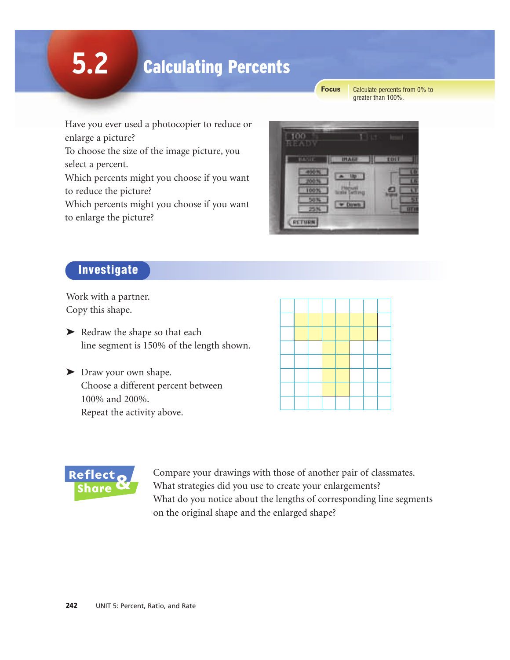# **5.2**

# Calculating Percents

**Focus**

Calculate percents from 0% to greater than 100%.

Have you ever used a photocopier to reduce or enlarge a picture?

To choose the size of the image picture, you select a percent.

Which percents might you choose if you want to reduce the picture?

Which percents might you choose if you want to enlarge the picture?



# Investigate

Work with a partner. Copy this shape.

▶ Redraw the shape so that each line segment is 150% of the length shown.

| > Draw your own shape.             |
|------------------------------------|
| Choose a different percent between |
| 100% and 200%.                     |
| Repeat the activity above.         |



Compare your drawings with those of another pair of classmates. What strategies did you use to create your enlargements? What do you notice about the lengths of corresponding line segments on the original shape and the enlarged shape?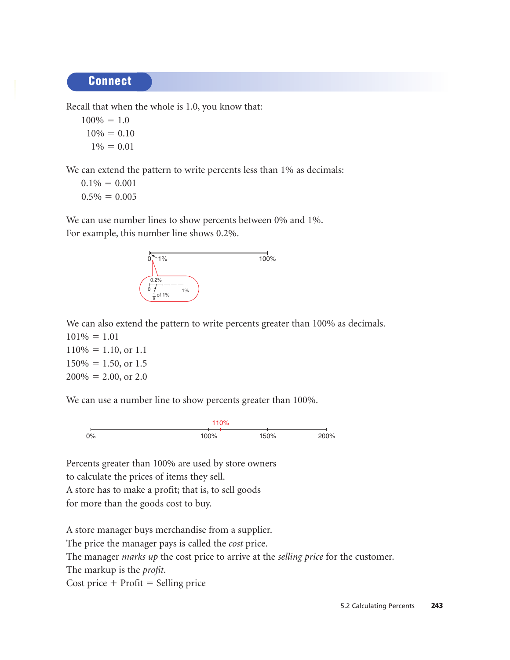#### **Connect**

Recall that when the whole is 1.0, you know that:

 $100\% = 1.0$  $10\% = 0.10$  $1\% = 0.01$ 

We can extend the pattern to write percents less than 1% as decimals:

 $0.1\% = 0.001$  $0.5\% = 0.005$ 

We can use number lines to show percents between 0% and 1%. For example, this number line shows 0.2%.



We can also extend the pattern to write percents greater than 100% as decimals.  $101\% = 1.01$ 

 $110\% = 1.10$ , or 1.1  $150\% = 1.50$ , or 1.5  $200\% = 2.00$ , or 2.0

We can use a number line to show percents greater than 100%.



Percents greater than 100% are used by store owners to calculate the prices of items they sell. A store has to make a profit; that is, to sell goods for more than the goods cost to buy.

A store manager buys merchandise from a supplier. The price the manager pays is called the *cost* price. The manager *marks up* the cost price to arrive at the *selling price* for the customer. The markup is the *profit*.  $Cost price + Profit = Selling price$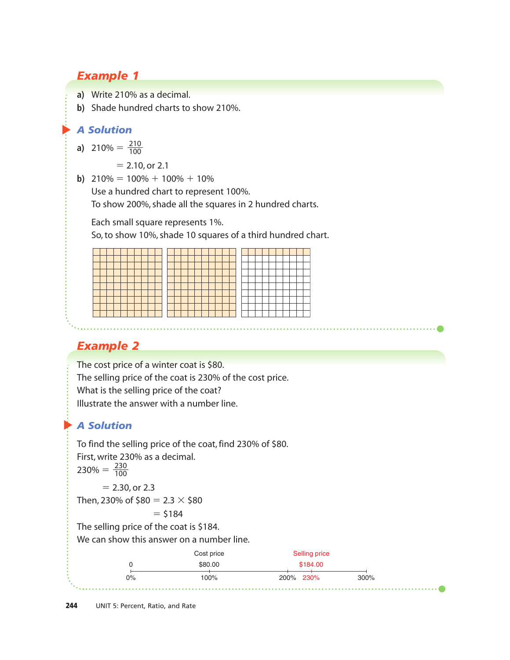## *Example 1*

- **a)** Write 210% as a decimal.
- **b)** Shade hundred charts to show 210%.

#### ▲ *A Solution*

**a)** 210% =  $\frac{210}{100}$ 100

 $= 2.10$ , or 2.1

**b)**  $210\% = 100\% + 100\% + 10\%$ 

Use a hundred chart to represent 100%.

To show 200%, shade all the squares in 2 hundred charts.

Each small square represents 1%.

So, to show 10%, shade 10 squares of a third hundred chart.

# *Example 2*

The cost price of a winter coat is \$80. The selling price of the coat is 230% of the cost price. What is the selling price of the coat?

Illustrate the answer with a number line.

# ▲ *A Solution*

To find the selling price of the coat, find 230% of \$80. First, write 230% as a decimal.  $230\% = \frac{230}{100}$  $= 2.30$ , or 2.3 Then, 230% of  $$80 = 2.3 \times $80$  $= $184$ 100

The selling price of the coat is \$184.

We can show this answer on a number line.

| \$184.00<br>\$80.00 |    | Cost price | <b>Selling price</b> |      |  |
|---------------------|----|------------|----------------------|------|--|
|                     |    |            |                      |      |  |
|                     | 0% | 100%       | 200% 230%            | 300% |  |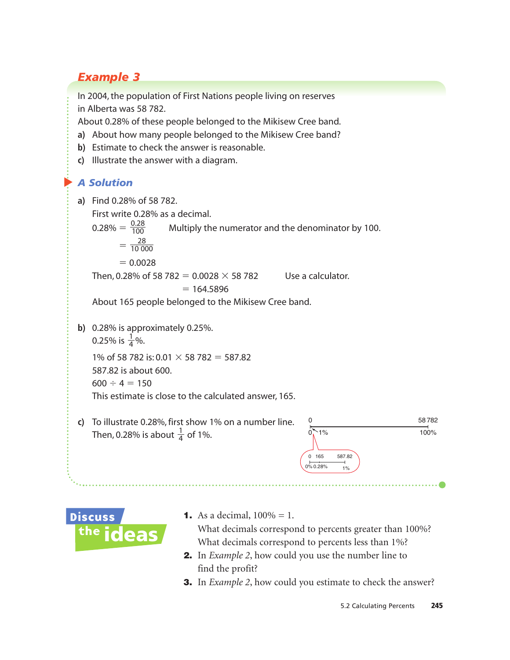# *Example 3*

In 2004, the population of First Nations people living on reserves in Alberta was 58 782.

About 0.28% of these people belonged to the Mikisew Cree band.

- **a)** About how many people belonged to the Mikisew Cree band?
- **b)** Estimate to check the answer is reasonable.
- **c)** Illustrate the answer with a diagram.

### *A Solution*

 $\blacktriangleright$ 

- **a)** Find 0.28% of 58 782. First write 0.28% as a decimal. Multiply the numerator and the denominator by 100.  $=\frac{28}{10.00}$  $= 0.0028$ Then, 0.28% of 58 782 = 0.0028  $\times$  58 782 Use a calculator.  $= 164.5896$ About 165 people belonged to the Mikisew Cree band. 10 000  $0.28$ 100
- **b)** 0.28% is approximately 0.25%. 0.25% is  $\frac{1}{4}$ %. 1% of 58 782 is: 0.01  $\times$  58 782 = 587.82 587.82 is about 600.  $600 \div 4 = 150$ This estimate is close to the calculated answer, 165. 4
- **c)** To illustrate 0.28%, first show 1% on a number line. Then, 0.28% is about  $\frac{1}{4}$  of 1%.





**1.** As a decimal,  $100\% = 1$ .

What decimals correspond to percents greater than 100%? What decimals correspond to percents less than 1%?

- 2. In *Example 2*, how could you use the number line to find the profit?
- **3.** In *Example 2*, how could you estimate to check the answer?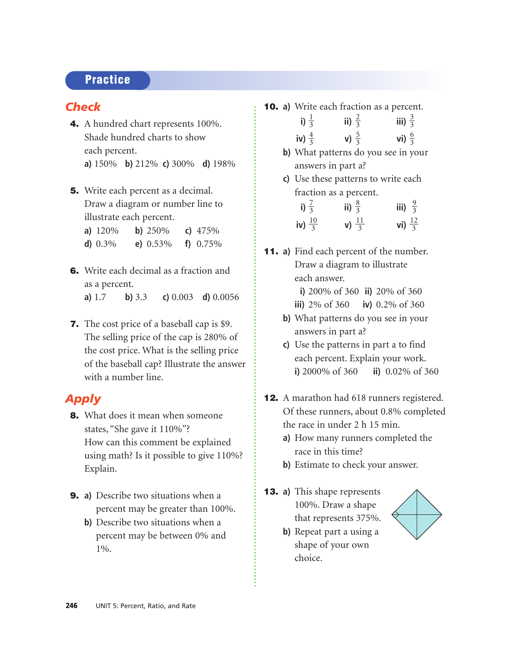### **Practice**

#### *Check*

- 4. A hundred chart represents 100%. Shade hundred charts to show each percent. **a)** 150% **b)** 212% **c)** 300% **d)** 198%
- **5.** Write each percent as a decimal. Draw a diagram or number line to illustrate each percent.
	- **a)** 120% **b)** 250% **c)** 475% **d)** 0.3% **e)** 0.53% **f)** 0.75%
- 6. Write each decimal as a fraction and as a percent. **a)** 1.7 **b)** 3.3 **c)** 0.003 **d)** 0.0056
- **7.** The cost price of a baseball cap is \$9. The selling price of the cap is 280% of the cost price. What is the selling price of the baseball cap? Illustrate the answer with a number line.

#### *Apply*

- 8. What does it mean when someone states, "She gave it 110%"? How can this comment be explained using math? Is it possible to give 110%? Explain.
- 9. **a)** Describe two situations when a percent may be greater than 100%.
	- **b)** Describe two situations when a percent may be between 0% and 1%.
- 10. **a)** Write each fraction as a percent.
	- **i**)  $\frac{1}{3}$  **iii**)  $\frac{2}{3}$  **iii**) **iv**)  $\frac{4}{3}$  **v**)  $\frac{5}{3}$  **vi**) 6 3 5 3 3 3 3 2 3 3
	- **b)** What patterns do you see in your answers in part a?
	- **c)** Use these patterns to write each fraction as a percent.

| i) $\frac{7}{3}$   | ii) $\frac{8}{3}$         | iii) $\frac{9}{3}$         |
|--------------------|---------------------------|----------------------------|
| iv) $\frac{10}{3}$ | <b>v</b> ) $\frac{11}{3}$ | <b>vi</b> ) $\frac{12}{3}$ |

- 11. **a)** Find each percent of the number. Draw a diagram to illustrate each answer.
	- **i)** 200% of 360 **ii)** 20% of 360
	- **iii)** 2% of 360 **iv)** 0.2% of 360
	- **b)** What patterns do you see in your answers in part a?
	- **c)** Use the patterns in part a to find each percent. Explain your work. **i)** 2000% of 360 **ii)** 0.02% of 360
- 12. A marathon had 618 runners registered. Of these runners, about 0.8% completed the race in under 2 h 15 min.
	- **a)** How many runners completed the race in this time?
	- **b)** Estimate to check your answer.
- 13. **a)** This shape represents 100%. Draw a shape that represents 375%.
	- **b)** Repeat part a using a shape of your own choice.